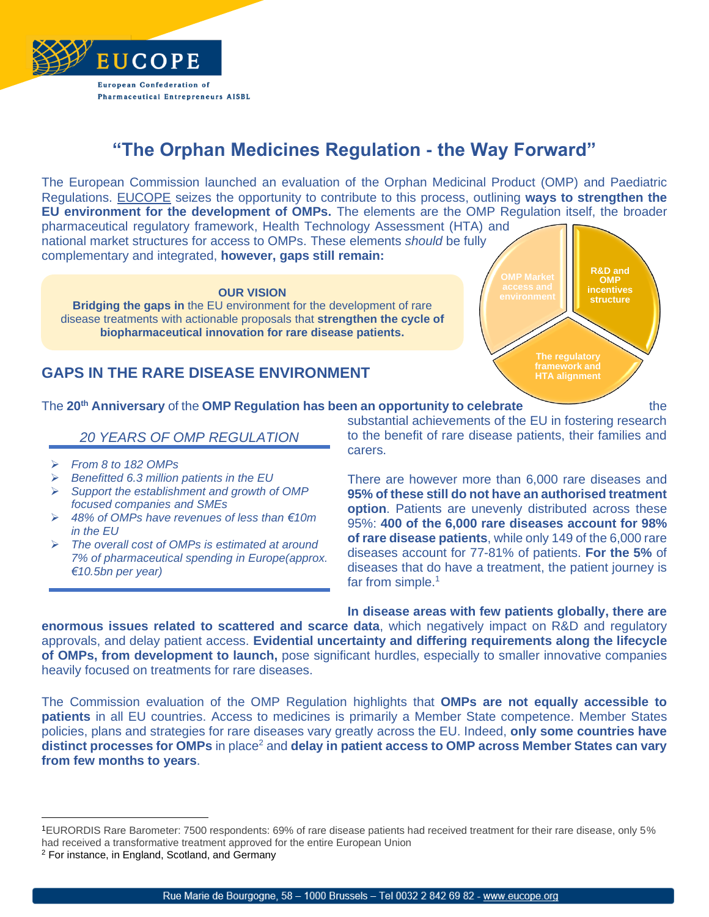

## **"The Orphan Medicines Regulation - the Way Forward"**

The European Commission launched an evaluation of the Orphan Medicinal Product (OMP) and Paediatric Regulations. [EUCOPE](https://www.eucope.org/) seizes the opportunity to contribute to this process, outlining **ways to strengthen the EU environment for the development of OMPs.** The elements are the OMP Regulation itself, the broader

pharmaceutical regulatory framework, Health Technology Assessment (HTA) and national market structures for access to OMPs. These elements *should* be fully complementary and integrated, **however, gaps still remain:**

## **OUR VISION**

**Bridging the gaps in** the EU environment for the development of rare disease treatments with actionable proposals that **strengthen the cycle of biopharmaceutical innovation for rare disease patients.**

## **GAPS IN THE RARE DISEASE ENVIRONMENT**

**R&D and OMP incentives structure The regulatory HTA alignment**

The **20th Anniversary** of the **OMP Regulation has been an opportunity to celebrate** the

## *20 YEARS OF OMP REGULATION*

- ➢ *From 8 to 182 OMPs*
- ➢ *Benefitted 6.3 million patients in the EU*
- ➢ *Support the establishment and growth of OMP focused companies and SMEs*
- ➢ *48% of OMPs have revenues of less than €10m in the EU*
- ➢ *The overall cost of OMPs is estimated at around 7% of pharmaceutical spending in Europe(approx. €10.5bn per year)*

substantial achievements of the EU in fostering research to the benefit of rare disease patients, their families and carers.

There are however more than 6,000 rare diseases and **95% of these still do not have an authorised treatment option**. Patients are unevenly distributed across these 95%: **400 of the 6,000 rare diseases account for 98% of rare disease patients**, while only 149 of the 6,000 rare diseases account for 77-81% of patients. **For the 5%** of diseases that do have a treatment, the patient journey is far from simple.<sup>1</sup>

**In disease areas with few patients globally, there are** 

**enormous issues related to scattered and scarce data**, which negatively impact on R&D and regulatory approvals, and delay patient access. **Evidential uncertainty and differing requirements along the lifecycle of OMPs, from development to launch,** pose significant hurdles, especially to smaller innovative companies heavily focused on treatments for rare diseases.

The Commission evaluation of the OMP Regulation highlights that **OMPs are not equally accessible to patients** in all EU countries. Access to medicines is primarily a Member State competence. Member States policies, plans and strategies for rare diseases vary greatly across the EU. Indeed, **only some countries have distinct processes for OMPs** in place<sup>2</sup> and **delay in patient access to OMP** across Member States can vary **from few months to years**.

<sup>1</sup>EURORDIS Rare Barometer: 7500 respondents: 69% of rare disease patients had received treatment for their rare disease, only 5% had received a transformative treatment approved for the entire European Union

<sup>2</sup> For instance, in England, Scotland, and Germany